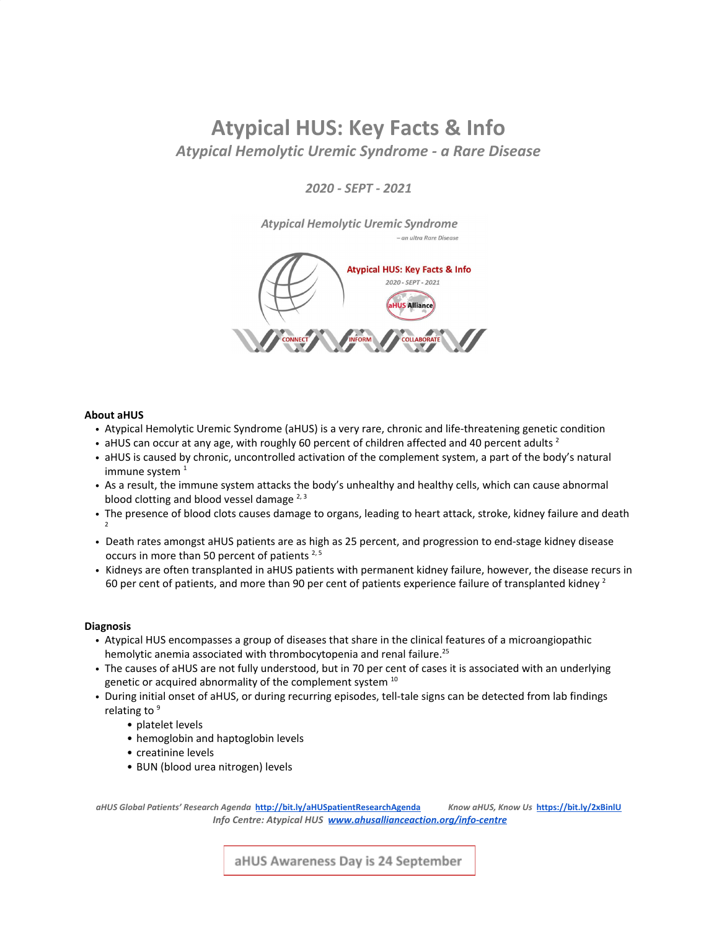# **Atypical HUS: Key Facts & Info** *Atypical Hemolytic Uremic Syndrome - a Rare Disease*

*2020 - SEPT - 2021*

**Atypical Hemolytic Uremic Syndrome** 

 $-$ an ultra Rare Disease



## **About aHUS**

- Atypical Hemolytic Uremic Syndrome (aHUS) is a very rare, chronic and life-threatening genetic condition
- aHUS can occur at any age, with roughly 60 percent of children affected and 40 percent adults<sup>2</sup>
- aHUS is caused by chronic, uncontrolled activation of the complement system, a part of the body's natural immune system $1$
- As a result, the immune system attacks the body's unhealthy and healthy cells, which can cause abnormal blood clotting and blood vessel damage <sup>2, 3</sup>
- The presence of blood clots causes damage to organs, leading to heart attack, stroke, kidney failure and death 2
- Death rates amongst aHUS patients are as high as 25 percent, and progression to end-stage kidney disease occurs in more than 50 percent of patients<sup>2,5</sup>
- Kidneys are often transplanted in aHUS patients with permanent kidney failure, however, the disease recurs in 60 per cent of patients, and more than 90 per cent of patients experience failure of transplanted kidney <sup>2</sup>

## **Diagnosis**

- Atypical HUS encompasses a group of diseases that share in the clinical features of a microangiopathic hemolytic anemia associated with thrombocytopenia and renal failure. 25
- The causes of aHUS are not fully understood, but in 70 per cent of cases it is associated with an underlying genetic or acquired abnormality of the complement system  $10$
- During initial onset of aHUS, or during recurring episodes, tell-tale signs can be detected from lab findings relating to<sup>9</sup>
	- platelet levels
	- hemoglobin and haptoglobin levels
	- creatinine levels
	- BUN (blood urea nitrogen) levels

*aHUS Global Patients' Research Agenda* **<http://bit.ly/aHUSpatientResearchAgenda>** *Know aHUS, Know Us* **<https://bit.ly/2xBinlU>**  *Info Centre: Atypical HUS [www.ahusallianceaction.org/info-centre](https://www.ahusallianceaction.org/info-centre/)*

aHUS Awareness Day is 24 September